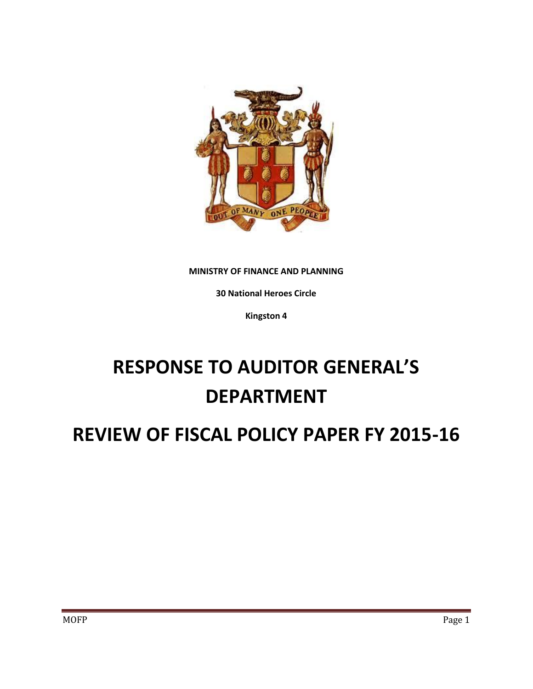

## **MINISTRY OF FINANCE AND PLANNING**

**30 National Heroes Circle**

**Kingston 4**

# **RESPONSE TO AUDITOR GENERAL'S DEPARTMENT**

# **REVIEW OF FISCAL POLICY PAPER FY 2015-16**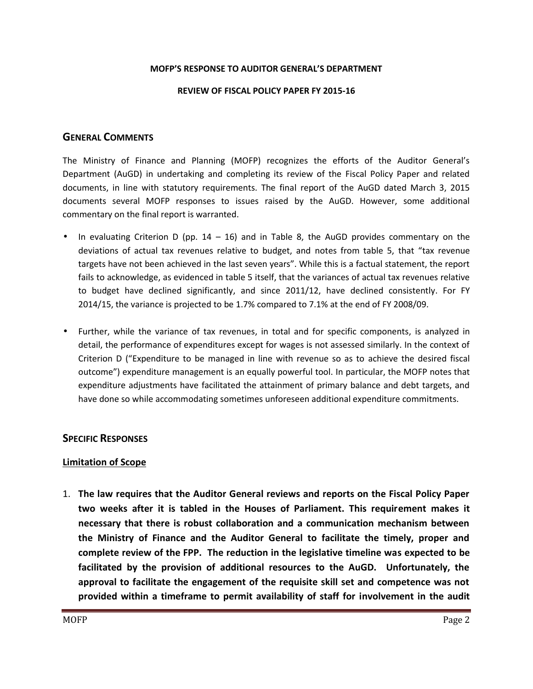#### **MOFP'S RESPONSE TO AUDITOR GENERAL'S DEPARTMENT**

#### **REVIEW OF FISCAL POLICY PAPER FY 2015-16**

# **GENERAL COMMENTS**

The Ministry of Finance and Planning (MOFP) recognizes the efforts of the Auditor General's Department (AuGD) in undertaking and completing its review of the Fiscal Policy Paper and related documents, in line with statutory requirements. The final report of the AuGD dated March 3, 2015 documents several MOFP responses to issues raised by the AuGD. However, some additional commentary on the final report is warranted.

- In evaluating Criterion D (pp.  $14 16$ ) and in Table 8, the AuGD provides commentary on the deviations of actual tax revenues relative to budget, and notes from table 5, that "tax revenue targets have not been achieved in the last seven years". While this is a factual statement, the report fails to acknowledge, as evidenced in table 5 itself, that the variances of actual tax revenues relative to budget have declined significantly, and since 2011/12, have declined consistently. For FY 2014/15, the variance is projected to be 1.7% compared to 7.1% at the end of FY 2008/09.
- Further, while the variance of tax revenues, in total and for specific components, is analyzed in detail, the performance of expenditures except for wages is not assessed similarly. In the context of Criterion D ("Expenditure to be managed in line with revenue so as to achieve the desired fiscal outcome") expenditure management is an equally powerful tool. In particular, the MOFP notes that expenditure adjustments have facilitated the attainment of primary balance and debt targets, and have done so while accommodating sometimes unforeseen additional expenditure commitments.

# **SPECIFIC RESPONSES**

## **Limitation of Scope**

1. **The law requires that the Auditor General reviews and reports on the Fiscal Policy Paper two weeks after it is tabled in the Houses of Parliament. This requirement makes it necessary that there is robust collaboration and a communication mechanism between the Ministry of Finance and the Auditor General to facilitate the timely, proper and complete review of the FPP. The reduction in the legislative timeline was expected to be facilitated by the provision of additional resources to the AuGD. Unfortunately, the approval to facilitate the engagement of the requisite skill set and competence was not provided within a timeframe to permit availability of staff for involvement in the audit**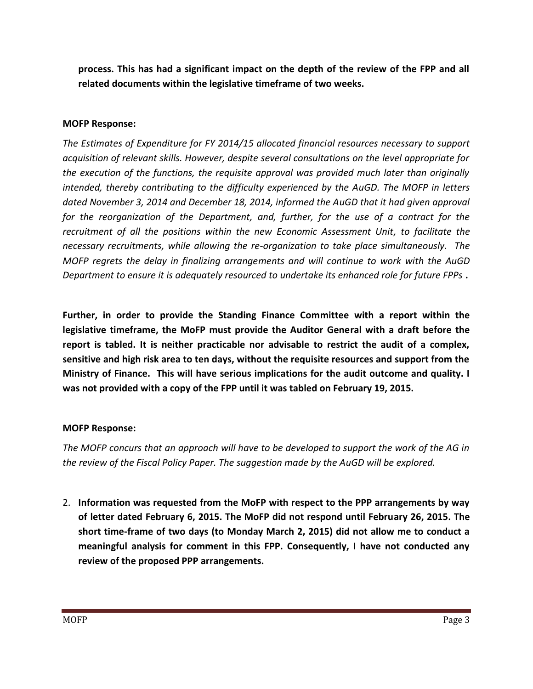**process. This has had a significant impact on the depth of the review of the FPP and all related documents within the legislative timeframe of two weeks.**

# **MOFP Response:**

*The Estimates of Expenditure for FY 2014/15 allocated financial resources necessary to support acquisition of relevant skills. However, despite several consultations on the level appropriate for the execution of the functions, the requisite approval was provided much later than originally intended, thereby contributing to the difficulty experienced by the AuGD. The MOFP in letters dated November 3, 2014 and December 18, 2014, informed the AuGD that it had given approval for the reorganization of the Department, and, further, for the use of a contract for the recruitment of all the positions within the new Economic Assessment Unit, to facilitate the necessary recruitments, while allowing the re-organization to take place simultaneously. The MOFP regrets the delay in finalizing arrangements and will continue to work with the AuGD Department to ensure it is adequately resourced to undertake its enhanced role for future FPPs* **.**

**Further, in order to provide the Standing Finance Committee with a report within the legislative timeframe, the MoFP must provide the Auditor General with a draft before the report is tabled. It is neither practicable nor advisable to restrict the audit of a complex, sensitive and high risk area to ten days, without the requisite resources and support from the Ministry of Finance. This will have serious implications for the audit outcome and quality. I was not provided with a copy of the FPP until it was tabled on February 19, 2015.**

# **MOFP Response:**

*The MOFP concurs that an approach will have to be developed to support the work of the AG in the review of the Fiscal Policy Paper. The suggestion made by the AuGD will be explored.*

2. **Information was requested from the MoFP with respect to the PPP arrangements by way of letter dated February 6, 2015. The MoFP did not respond until February 26, 2015. The short time-frame of two days (to Monday March 2, 2015) did not allow me to conduct a meaningful analysis for comment in this FPP. Consequently, I have not conducted any review of the proposed PPP arrangements.**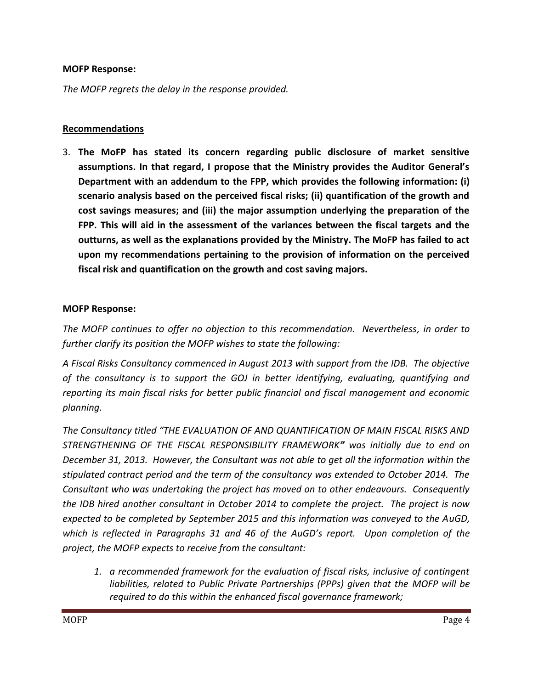# **MOFP Response:**

*The MOFP regrets the delay in the response provided.*

# **Recommendations**

3. **The MoFP has stated its concern regarding public disclosure of market sensitive assumptions. In that regard, I propose that the Ministry provides the Auditor General's Department with an addendum to the FPP, which provides the following information: (i) scenario analysis based on the perceived fiscal risks; (ii) quantification of the growth and cost savings measures; and (iii) the major assumption underlying the preparation of the FPP. This will aid in the assessment of the variances between the fiscal targets and the outturns, as well as the explanations provided by the Ministry. The MoFP has failed to act upon my recommendations pertaining to the provision of information on the perceived fiscal risk and quantification on the growth and cost saving majors.**

# **MOFP Response:**

*The MOFP continues to offer no objection to this recommendation. Nevertheless, in order to further clarify its position the MOFP wishes to state the following:*

*A Fiscal Risks Consultancy commenced in August 2013 with support from the IDB. The objective of the consultancy is to support the GOJ in better identifying, evaluating, quantifying and reporting its main fiscal risks for better public financial and fiscal management and economic planning.*

*The Consultancy titled "THE EVALUATION OF AND QUANTIFICATION OF MAIN FISCAL RISKS AND STRENGTHENING OF THE FISCAL RESPONSIBILITY FRAMEWORK" was initially due to end on December 31, 2013. However, the Consultant was not able to get all the information within the stipulated contract period and the term of the consultancy was extended to October 2014. The Consultant who was undertaking the project has moved on to other endeavours. Consequently the IDB hired another consultant in October 2014 to complete the project. The project is now expected to be completed by September 2015 and this information was conveyed to the AuGD, which is reflected in Paragraphs 31 and 46 of the AuGD's report. Upon completion of the project, the MOFP expects to receive from the consultant:*

*1. a recommended framework for the evaluation of fiscal risks, inclusive of contingent liabilities, related to Public Private Partnerships (PPPs) given that the MOFP will be required to do this within the enhanced fiscal governance framework;*